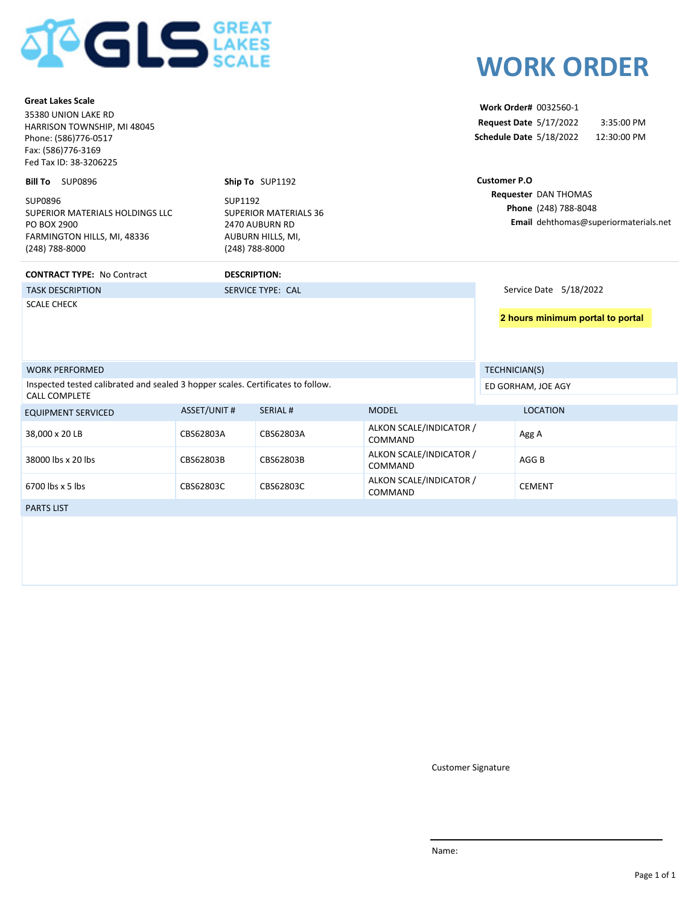

| <b>Great Lakes Scale</b><br>35380 UNION LAKE RD<br>HARRISON TOWNSHIP, MI 48045<br>Phone: (586)776-0517<br>Fax: (586)776-3169<br>Fed Tax ID: 38-3206225 |                           |                                                                     |                                    |                     | Work Order# 0032560-1<br>Request Date 5/17/2022<br>Schedule Date 5/18/2022 | 3:35:00 PM<br>12:30:00 PM             |
|--------------------------------------------------------------------------------------------------------------------------------------------------------|---------------------------|---------------------------------------------------------------------|------------------------------------|---------------------|----------------------------------------------------------------------------|---------------------------------------|
| Bill To SUP0896                                                                                                                                        |                           | Ship To SUP1192                                                     |                                    | <b>Customer P.O</b> |                                                                            |                                       |
| SUP0896<br>SUPERIOR MATERIALS HOLDINGS LLC<br>PO BOX 2900<br>FARMINGTON HILLS, MI, 48336<br>(248) 788-8000                                             | SUP1192<br>(248) 788-8000 | <b>SUPERIOR MATERIALS 36</b><br>2470 AUBURN RD<br>AUBURN HILLS, MI, |                                    |                     | Requester DAN THOMAS<br>Phone (248) 788-8048                               | Email dehthomas@superiormaterials.net |
| <b>CONTRACT TYPE: No Contract</b>                                                                                                                      | <b>DESCRIPTION:</b>       |                                                                     |                                    |                     |                                                                            |                                       |
| <b>TASK DESCRIPTION</b>                                                                                                                                |                           | SERVICE TYPE: CAL                                                   |                                    |                     | Service Date 5/18/2022                                                     |                                       |
| <b>SCALE CHECK</b>                                                                                                                                     |                           |                                                                     |                                    |                     | 2 hours minimum portal to portal                                           |                                       |
| <b>WORK PERFORMED</b>                                                                                                                                  |                           |                                                                     |                                    |                     | TECHNICIAN(S)                                                              |                                       |
| Inspected tested calibrated and sealed 3 hopper scales. Certificates to follow.<br><b>CALL COMPLETE</b>                                                |                           |                                                                     |                                    |                     | ED GORHAM, JOE AGY                                                         |                                       |
| <b>EQUIPMENT SERVICED</b>                                                                                                                              | <b>ASSET/UNIT #</b>       | <b>SERIAL#</b>                                                      | <b>MODEL</b>                       |                     | <b>LOCATION</b>                                                            |                                       |
| 38,000 x 20 LB                                                                                                                                         | CBS62803A                 | CBS62803A                                                           | ALKON SCALE/INDICATOR /<br>COMMAND |                     | Agg A                                                                      |                                       |
| 38000 lbs x 20 lbs                                                                                                                                     | CBS62803B                 | CBS62803B                                                           | ALKON SCALE/INDICATOR /<br>COMMAND |                     | AGG <sub>B</sub>                                                           |                                       |
| 6700 lbs x 5 lbs                                                                                                                                       | CBS62803C                 | CBS62803C                                                           | ALKON SCALE/INDICATOR /<br>COMMAND |                     | <b>CEMENT</b>                                                              |                                       |
| <b>PARTS LIST</b>                                                                                                                                      |                           |                                                                     |                                    |                     |                                                                            |                                       |
|                                                                                                                                                        |                           |                                                                     |                                    |                     |                                                                            |                                       |

Customer Signature

**WORK ORDER**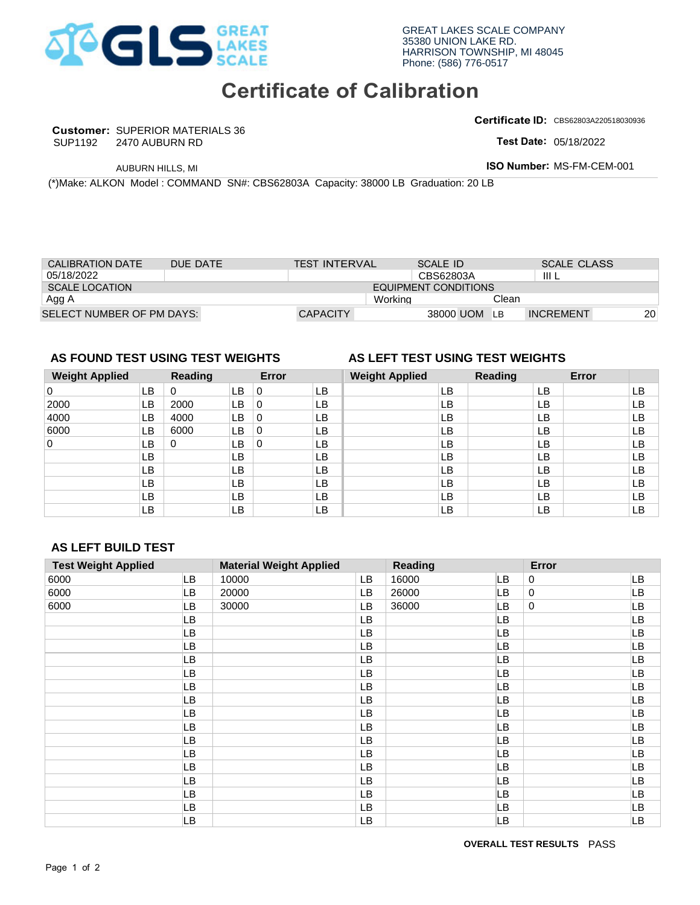

## **Certificate of Calibration**

**Customer:** SUPERIOR MATERIALS 36 SUP1192

**Certificate ID:** CBS62803A220518030936

**Test Date:** 

| <b>CALIBRATION DATE</b>   | DUE DATE | <b>TEST INTERVAL</b> |         | SCALE ID             |       | <b>SCALE CLASS</b> |           |
|---------------------------|----------|----------------------|---------|----------------------|-------|--------------------|-----------|
| 05/18/2022                |          |                      |         | CBS62803A            |       | -III L             |           |
| SCALE LOCATION            |          |                      |         | EQUIPMENT CONDITIONS |       |                    |           |
| Agg A                     |          |                      | Working |                      | Clean |                    |           |
| SELECT NUMBER OF PM DAYS: |          | <b>CAPACITY</b>      |         | 38000 UOM            | LB.   | <b>INCREMENT</b>   | <b>20</b> |

## **AS FOUND TEST USING TEST WEIGHTS AS LEFT TEST USING TEST WEIGHTS**

### **Weight Applied Reading Error Weight Applied Reading Error**  0 LB LB **LB** LB LB LB LB LB LB 0 4000 LB 4000 LB 0 LB<br>
6000 LB 6000 LB 0 LB<br>
0 LB 0 LB 0 LB<br>
LB LB LB LB<br>
LB LB LB LB<br>
LB LB LB LB<br>
LB LB LB LB<br>
LB LB LB LB<br>
LB LB LB LB<br>
LB LB LB LB<br>
AS LEFT BUILD TEST<br>
Test Weight Applied Material Weight Applied Read<br>
6 0 0 0 LB 0 LB 0 6000 0 CAPACITY<br>
36000 UOM LB INCRE<br>
36000 UOM LB INCRE<br>
36000 UOM LB INCRE<br>
36000 UOM LB INCRE<br>
36000 UB O LB IS IS<br>
4000 UB O LB IS IS<br>
6000 UB O LB IS IS<br>
8000 UB O LB IS IS<br>
8000 UB O LB IS IS<br>
80 UB UB UB UB<br>
80 UB UB UB UB LB 0 LB 0 LB LB LB LB LB LB LB LB 2000 LB 0 LB LB LB LB LB LB LB LB 4000 LB 0 LB LB LB LB LB LB LB LB LB LB LB LB LB | 0 | LB | 1 | LB | 1 | LB | 1 | LB | 1 | LB | 1 | LB | 1 | LB | 1 | LB | 1 | LB LB LB LB LB LB LB LB LB LB LB LB LB LB LB LB LB LB LB LB LB LB LB LB LB LB LB LB LB LB LB 0

## **AS LEFT BUILD TEST**

|                                     |                                                                                    | 2470 AUBURN RD |           |                  |                                |          |                             |                 |                                 |                  | Test Date: 05/18/2022     |          |
|-------------------------------------|------------------------------------------------------------------------------------|----------------|-----------|------------------|--------------------------------|----------|-----------------------------|-----------------|---------------------------------|------------------|---------------------------|----------|
|                                     | AUBURN HILLS, MI                                                                   |                |           |                  |                                |          |                             |                 |                                 |                  | ISO Number: MS-FM-CEM-001 |          |
|                                     | (*)Make: ALKON Model : COMMAND SN#: CBS62803A Capacity: 38000 LB Graduation: 20 LB |                |           |                  |                                |          |                             |                 |                                 |                  |                           |          |
|                                     |                                                                                    |                |           |                  |                                |          |                             |                 |                                 |                  |                           |          |
|                                     |                                                                                    |                |           |                  |                                |          |                             |                 |                                 |                  |                           |          |
|                                     |                                                                                    |                |           |                  |                                |          |                             |                 |                                 |                  |                           |          |
|                                     |                                                                                    |                |           |                  |                                |          |                             |                 |                                 |                  |                           |          |
| <b>CALIBRATION DATE</b>             |                                                                                    | DUE DATE       |           |                  | <b>TEST INTERVAL</b>           |          |                             | <b>SCALE ID</b> |                                 |                  | <b>SCALE CLASS</b>        |          |
| 05/18/2022<br><b>SCALE LOCATION</b> |                                                                                    |                |           |                  |                                |          | <b>EQUIPMENT CONDITIONS</b> | CBS62803A       |                                 | III L            |                           |          |
| Agg A                               |                                                                                    |                |           |                  |                                |          | Working                     |                 | Clean                           |                  |                           |          |
|                                     | SELECT NUMBER OF PM DAYS:                                                          |                |           |                  | <b>CAPACITY</b>                |          |                             | 38000 UOM       | LB                              | <b>INCREMENT</b> |                           | 20       |
|                                     |                                                                                    |                |           |                  |                                |          |                             |                 |                                 |                  |                           |          |
|                                     |                                                                                    |                |           |                  |                                |          |                             |                 |                                 |                  |                           |          |
|                                     | AS FOUND TEST USING TEST WEIGHTS                                                   |                |           |                  |                                |          |                             |                 | AS LEFT TEST USING TEST WEIGHTS |                  |                           |          |
| <b>Weight Applied</b>               |                                                                                    | <b>Reading</b> |           | Error            |                                |          | <b>Weight Applied</b>       |                 | <b>Reading</b>                  |                  | Error                     |          |
| 0                                   | <b>LB</b>                                                                          | $\pmb{0}$      | <b>LB</b> | $\pmb{0}$        | LB                             |          |                             | LB              |                                 | <b>LB</b>        |                           | LB       |
| 2000                                | LB                                                                                 | 2000           | LB        | $\boldsymbol{0}$ | LB                             |          |                             | LB              |                                 | LB               |                           | LB       |
| 4000                                | LB                                                                                 | 4000           | LB        | $\mathbf 0$      | LB                             |          |                             | LB              |                                 | LB               |                           | LB       |
| 6000                                | LB                                                                                 | 6000           | LB        | $\boldsymbol{0}$ | LB                             |          |                             | LB              |                                 | LB               |                           | LB       |
| 0                                   | LB                                                                                 | 0              | LB        | $\mathsf 0$      | LB                             |          |                             | LB              |                                 | LB               |                           | LB       |
|                                     | LB<br>LB                                                                           |                | LB<br>LB  |                  | LB<br>LB                       |          |                             | LB<br>LB        |                                 | LB<br>LB         |                           | LB<br>LB |
|                                     | LB                                                                                 |                | LB        |                  | LB                             |          |                             | LB              |                                 | LB               |                           | LB       |
|                                     | LB                                                                                 |                | LB        |                  | LB                             |          |                             | LB              |                                 | LB               |                           | LB       |
|                                     | LB                                                                                 |                | LB        |                  | <b>LB</b>                      |          |                             | LB              |                                 | <b>LB</b>        |                           | LB       |
|                                     |                                                                                    |                |           |                  |                                |          |                             |                 |                                 |                  |                           |          |
|                                     |                                                                                    |                |           |                  |                                |          |                             |                 |                                 |                  |                           |          |
|                                     |                                                                                    |                |           |                  |                                |          |                             |                 |                                 |                  |                           |          |
|                                     | <b>AS LEFT BUILD TEST</b>                                                          |                |           |                  |                                |          |                             |                 |                                 |                  |                           |          |
|                                     | <b>Test Weight Applied</b>                                                         |                |           |                  | <b>Material Weight Applied</b> |          | <b>Reading</b>              |                 |                                 | Error            |                           |          |
|                                     |                                                                                    | LB             | 10000     |                  |                                | LB       | 16000                       |                 | LВ                              | 0                |                           | LB       |
|                                     |                                                                                    | LВ             | 20000     |                  |                                | LB       | 26000                       |                 | LВ                              | 0<br>0           |                           | LB       |
|                                     |                                                                                    | LВ<br>LВ       | 30000     |                  |                                | LB<br>LB | 36000                       |                 | LB<br>LВ                        |                  |                           | LB<br>LB |
|                                     |                                                                                    | LB             |           |                  |                                | LB       |                             |                 | LВ                              |                  |                           | LB       |
|                                     |                                                                                    | LB             |           |                  |                                | LB       |                             |                 | LB                              |                  |                           | LB       |
|                                     |                                                                                    | LB             |           |                  |                                | LB       |                             |                 | LB                              |                  |                           | LB       |
|                                     |                                                                                    | LB             |           |                  |                                | LB       |                             |                 | LB.                             |                  |                           | LB       |
|                                     |                                                                                    | LB             |           |                  |                                | LB       |                             |                 | LB                              |                  |                           | LB       |
|                                     |                                                                                    | LB             |           |                  |                                | LB       |                             |                 | LB                              |                  |                           | LB       |
|                                     |                                                                                    | LB             |           |                  |                                | LB       |                             |                 | LB                              |                  |                           | LB       |
|                                     |                                                                                    | LB             |           |                  |                                | LB       |                             |                 | LB                              |                  |                           | LB       |
|                                     |                                                                                    | LB             |           |                  |                                | LB       |                             |                 | LB                              |                  |                           | LB       |
|                                     |                                                                                    | LB<br>LB       |           |                  |                                | LB<br>LB |                             |                 | LB<br>LB                        |                  |                           | LB<br>LB |
|                                     |                                                                                    | LB             |           |                  |                                | LB       |                             |                 | LB                              |                  |                           | LB       |
|                                     |                                                                                    | LB             |           |                  |                                | LB       |                             |                 | LB.                             |                  |                           | LB       |
| 6000<br>6000<br>6000                |                                                                                    | LB<br>LB       |           |                  |                                | LB<br>LB |                             |                 | LB<br>LB                        |                  |                           | LB<br>LB |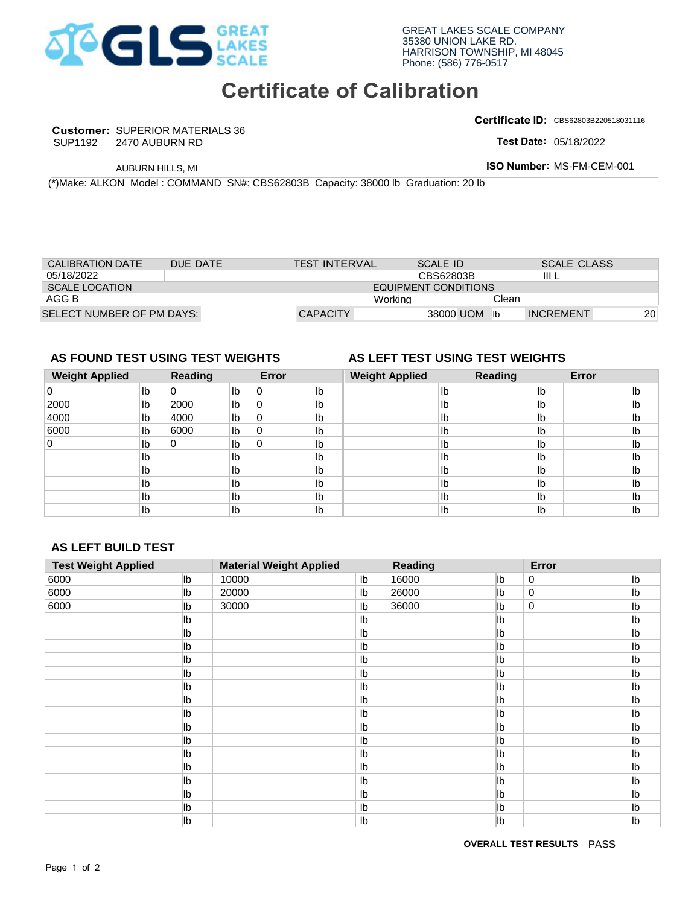

## **Certificate of Calibration**

**Customer:** SUPERIOR MATERIALS 36 SUP1192

**Certificate ID:** CBS62803B220518031116

**Test Date:** 

| CALIBRATION DATE          | DUF DATE | <b>TEST INTERVAL</b> | SCALE ID             |       | <b>SCALE CLASS</b> |           |
|---------------------------|----------|----------------------|----------------------|-------|--------------------|-----------|
| 05/18/2022                |          |                      | CBS62803B            |       | III L              |           |
| SCALE LOCATION            |          |                      | EQUIPMENT CONDITIONS |       |                    |           |
| AGG B                     |          |                      | Working              | Clean |                    |           |
| SELECT NUMBER OF PM DAYS: |          | <b>CAPACITY</b>      | 38000 UOM            |       | <b>INCREMENT</b>   | <b>20</b> |

## **AS FOUND TEST USING TEST WEIGHTS AS LEFT TEST USING TEST WEIGHTS**

| 05/18/2022                       |               |          |       |       |                                |    | CBS62803B                       |              |         | III L            |       |                 |
|----------------------------------|---------------|----------|-------|-------|--------------------------------|----|---------------------------------|--------------|---------|------------------|-------|-----------------|
| <b>SCALE LOCATION</b>            |               |          |       |       |                                |    | <b>EQUIPMENT CONDITIONS</b>     |              |         |                  |       |                 |
| AGG B                            |               |          |       |       |                                |    | Working                         |              | Clean   |                  |       |                 |
| SELECT NUMBER OF PM DAYS:        |               |          |       |       | <b>CAPACITY</b>                |    |                                 | 38000 UOM lb |         | <b>INCREMENT</b> |       | 20 <sup>°</sup> |
|                                  |               |          |       |       |                                |    |                                 |              |         |                  |       |                 |
|                                  |               |          |       |       |                                |    |                                 |              |         |                  |       |                 |
| AS FOUND TEST USING TEST WEIGHTS |               |          |       |       |                                |    | AS LEFT TEST USING TEST WEIGHTS |              |         |                  |       |                 |
| <b>Weight Applied</b>            |               | Reading  |       | Error |                                |    | <b>Weight Applied</b>           |              | Reading |                  | Error |                 |
| 0                                | lb            | $\Omega$ | Ib    | 0     | Ib                             |    | Ib                              |              |         | Ib               |       | Ib              |
| 2000                             | Ib            | 2000     | Ib    | 0     | Ib                             |    | Ib                              |              |         | Ib               |       | Ib              |
| 4000                             | Ib            | 4000     | Ib    | 0     | Ib                             |    | Ib                              |              |         | Ib               |       | I <sub>b</sub>  |
| 6000                             | Ib            | 6000     | Ib    | 0     | Ib                             |    | Ib                              |              |         | Ib               |       | Ib              |
| 0                                | $\mathsf{lb}$ | $\Omega$ | Ib    | 0     | Ib                             |    | Ib                              |              |         | Ib               |       | Ib              |
|                                  | Ib            |          | Ib    |       | Ib                             |    | Ib                              |              |         | Ib               |       | Ib              |
|                                  | Ib            |          | Ib    |       | Ib                             |    | Ib                              |              |         | lb               |       | Ib              |
|                                  | lb            |          | Ib    |       | lb                             |    | Ib                              |              |         | lb               |       | Ib              |
|                                  | Ib            |          | Ib    |       | Ib                             |    | Ib                              |              |         | Ib               |       | I <sub>b</sub>  |
|                                  | Ib            |          | Ib    |       | Ib                             |    | Ib                              |              |         | Ib               |       | I <sub>b</sub>  |
|                                  |               |          |       |       |                                |    |                                 |              |         |                  |       |                 |
|                                  |               |          |       |       |                                |    |                                 |              |         |                  |       |                 |
| <b>AS LEFT BUILD TEST</b>        |               |          |       |       |                                |    |                                 |              |         |                  |       |                 |
| <b>Test Weight Applied</b>       |               |          |       |       | <b>Material Weight Applied</b> |    | <b>Reading</b>                  |              |         | Error            |       |                 |
| 6000                             |               | lb       | 10000 |       |                                | Ib | 16000                           |              | lb      | 0                |       | lb              |
| 6000                             |               | lb       | 20000 |       |                                | Ib | 26000                           |              | lb      | 0                |       | lb              |
| 6000                             |               | lb       | 30000 |       |                                | lb | 36000                           |              | lb      | 0                |       | lb              |

## **AS LEFT BUILD TEST**

|                                       |                                  | 2470 AUBURN RD |                |                  |                                                                                    |                                  |                             |                              |                                 |             | Test Date: 05/18/2022     |                |
|---------------------------------------|----------------------------------|----------------|----------------|------------------|------------------------------------------------------------------------------------|----------------------------------|-----------------------------|------------------------------|---------------------------------|-------------|---------------------------|----------------|
|                                       | AUBURN HILLS, MI                 |                |                |                  |                                                                                    |                                  |                             |                              |                                 |             | ISO Number: MS-FM-CEM-001 |                |
|                                       |                                  |                |                |                  | (*)Make: ALKON Model : COMMAND SN#: CBS62803B Capacity: 38000 lb Graduation: 20 lb |                                  |                             |                              |                                 |             |                           |                |
|                                       |                                  |                |                |                  |                                                                                    |                                  |                             |                              |                                 |             |                           |                |
|                                       |                                  |                |                |                  |                                                                                    |                                  |                             |                              |                                 |             |                           |                |
|                                       |                                  |                |                |                  |                                                                                    |                                  |                             |                              |                                 |             |                           |                |
|                                       |                                  |                |                |                  |                                                                                    |                                  |                             |                              |                                 |             |                           |                |
| <b>CALIBRATION DATE</b><br>05/18/2022 |                                  | DUE DATE       |                |                  | <b>TEST INTERVAL</b>                                                               |                                  |                             | <b>SCALE ID</b><br>CBS62803B |                                 | III L       | <b>SCALE CLASS</b>        |                |
| <b>SCALE LOCATION</b>                 |                                  |                |                |                  |                                                                                    |                                  | <b>EQUIPMENT CONDITIONS</b> |                              |                                 |             |                           |                |
| AGG B                                 |                                  |                |                |                  |                                                                                    |                                  | Working                     |                              | Clean                           |             |                           |                |
| SELECT NUMBER OF PM DAYS:             |                                  |                |                |                  | <b>CAPACITY</b>                                                                    |                                  |                             |                              | 38000 UOM lb                    |             | <b>INCREMENT</b>          | 20             |
|                                       |                                  |                |                |                  |                                                                                    |                                  |                             |                              |                                 |             |                           |                |
|                                       |                                  |                |                |                  |                                                                                    |                                  |                             |                              |                                 |             |                           |                |
|                                       | AS FOUND TEST USING TEST WEIGHTS |                |                |                  |                                                                                    |                                  |                             |                              | AS LEFT TEST USING TEST WEIGHTS |             |                           |                |
| <b>Weight Applied</b>                 |                                  | <b>Reading</b> |                | Error            |                                                                                    |                                  | <b>Weight Applied</b>       |                              | <b>Reading</b>                  |             | Error                     |                |
| $\pmb{0}$                             | Ib                               | $\pmb{0}$      | lb             | $\,0\,$          | Ib                                                                                 |                                  |                             | Ib                           |                                 | lb          |                           | I <sub>b</sub> |
| 2000                                  | Ib                               | 2000<br>4000   | lb             | 0<br>$\mathbf 0$ | Ib<br>Ib                                                                           |                                  |                             | $\mathsf{lb}$<br>Ib          |                                 | Ib<br>Ib    |                           | Ib<br>Ib       |
| 4000<br>6000                          | lb<br>lb                         | 6000           | lb<br>lb       | 0                | Ib                                                                                 |                                  |                             | Ib                           |                                 | Ib          |                           | Ib             |
| 0                                     | lb                               | 0              | Ib             | $\pmb{0}$        | lb                                                                                 |                                  |                             | Ib                           |                                 | Ib          |                           | Ib             |
|                                       | lb                               |                | Ib             |                  | Ib                                                                                 |                                  |                             | Ib                           |                                 | Ib          |                           | I <sub>b</sub> |
|                                       | lb                               |                | lb             |                  | lb                                                                                 |                                  |                             | Ib                           |                                 | Ib          |                           | I <sub>b</sub> |
|                                       |                                  |                |                |                  |                                                                                    |                                  |                             |                              |                                 |             |                           | Ib             |
|                                       | $\mathsf{lb}$                    |                | I <sub>b</sub> |                  | lb                                                                                 |                                  |                             | Ib                           |                                 | Ib          |                           |                |
|                                       | $\mathsf{lb}$                    |                | I <sub>b</sub> |                  | Ib                                                                                 |                                  |                             | Ib                           |                                 | Ib          |                           | I <sub>b</sub> |
|                                       | Ib                               |                | Ib             |                  | Ib                                                                                 |                                  |                             | Ib                           |                                 | Ib          |                           | I <sub>b</sub> |
|                                       |                                  |                |                |                  |                                                                                    |                                  |                             |                              |                                 |             |                           |                |
|                                       | <b>AS LEFT BUILD TEST</b>        |                |                |                  |                                                                                    |                                  |                             |                              |                                 |             |                           |                |
| <b>Test Weight Applied</b>            |                                  |                |                |                  | <b>Material Weight Applied</b>                                                     |                                  | <b>Reading</b>              |                              |                                 | Error       |                           |                |
|                                       |                                  | lb             | 10000          |                  |                                                                                    | Ib                               | 16000                       |                              | lb                              | 0           |                           | Ib             |
|                                       |                                  | lb             | 20000          |                  |                                                                                    | I <sub>b</sub>                   | 26000                       |                              | lb                              | $\mathbf 0$ |                           | lb             |
|                                       |                                  | lb             | 30000          |                  |                                                                                    | Ib                               | 36000                       |                              | lb                              | 0           |                           | lb             |
|                                       |                                  | Ib             |                |                  |                                                                                    | Ib                               |                             |                              | Ib                              |             |                           | lb             |
|                                       |                                  | Ib             |                |                  |                                                                                    | Ib                               |                             |                              | Ib                              |             |                           | lb             |
|                                       |                                  | Ib             |                |                  |                                                                                    | Ib                               |                             |                              | lb                              |             |                           | lb             |
|                                       |                                  | lb             |                |                  |                                                                                    | Ib                               |                             |                              | lb                              |             |                           | lb             |
|                                       |                                  | lb<br>lb       |                |                  |                                                                                    | I <sub>b</sub><br>I <sub>b</sub> |                             |                              | lb<br>lb                        |             |                           | lb<br>lb       |
|                                       |                                  | lb             |                |                  |                                                                                    | I <sub>b</sub>                   |                             |                              | lb                              |             |                           | lb             |
|                                       |                                  | lb             |                |                  |                                                                                    | Ib                               |                             |                              | lb                              |             |                           | lb             |
|                                       |                                  | lb             |                |                  |                                                                                    | I <sub>b</sub>                   |                             |                              | lb                              |             |                           | lb             |
|                                       |                                  | lb             |                |                  |                                                                                    | Ib                               |                             |                              | lb                              |             |                           | lb             |
|                                       |                                  | lb             |                |                  |                                                                                    | Ib                               |                             |                              | lb                              |             |                           | lb             |
|                                       |                                  | lb             |                |                  |                                                                                    | I <sub>b</sub>                   |                             |                              | lb                              |             |                           | lb             |
|                                       |                                  | lb             |                |                  |                                                                                    | I <sub>b</sub>                   |                             |                              | lb                              |             |                           | lb             |
| 6000<br>6000<br>6000                  |                                  | lb<br>lb       |                |                  |                                                                                    | I <sub>b</sub><br>I <sub>b</sub> |                             |                              | lb<br>lb                        |             |                           | lb<br>lb       |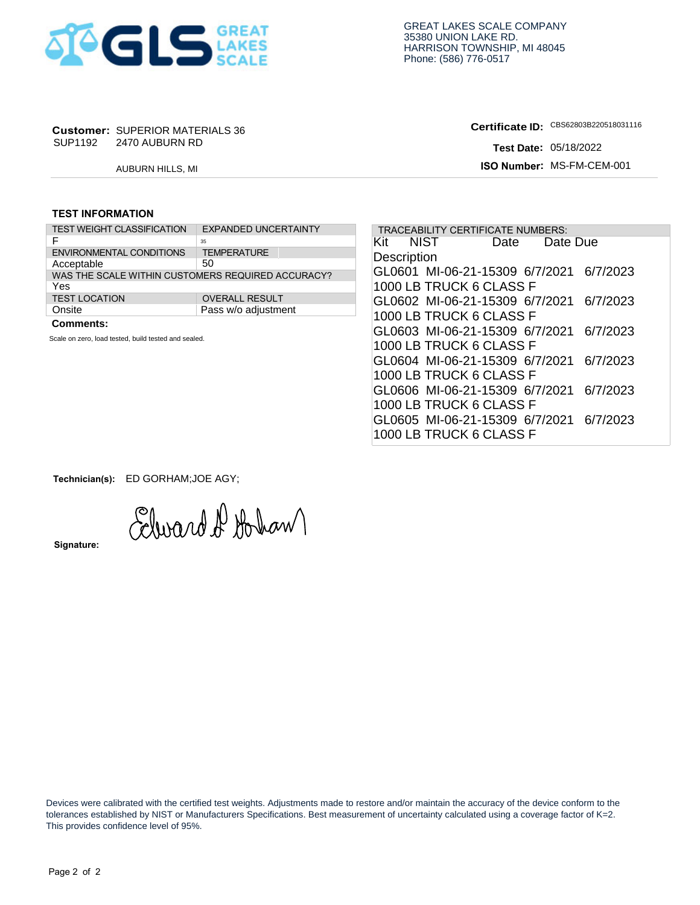

# **Customer: SUPERIOR MATERIALS 36<br>SUP1192 2470 AUBURN RD**

**Certificate ID: Test Date:** 

### **TEST INFORMATION**

| SUP1192                 | <b>Customer: SUPERIOR MATERIALS 36</b><br>2470 AUBURN RD |                             |  |
|-------------------------|----------------------------------------------------------|-----------------------------|--|
|                         | <b>AUBURN HILLS, MI</b>                                  |                             |  |
|                         |                                                          |                             |  |
| <b>TEST INFORMATION</b> |                                                          |                             |  |
|                         | <b>TEST WEIGHT CLASSIFICATION</b>                        | <b>EXPANDED UNCERTAINTY</b> |  |
| F                       |                                                          | 35                          |  |
|                         | <b>ENVIRONMENTAL CONDITIONS</b>                          | <b>TEMPERATURE</b>          |  |
| Acceptable              |                                                          | 50                          |  |
|                         | WAS THE SCALE WITHIN CUSTOMERS REQUIRED ACCURACY?        |                             |  |
| Yes                     |                                                          |                             |  |
| <b>TEST LOCATION</b>    |                                                          | <b>OVERALL RESULT</b>       |  |
| Onsite                  |                                                          | Pass w/o adjustment         |  |
|                         |                                                          |                             |  |

|                                                                              | <b>Customer: SUPERIOR MATERIALS 36</b>                                                  |                                                                                                                                     | Certificate ID: CBS62803B220518031116                                                                                                                                                                                                                                  |
|------------------------------------------------------------------------------|-----------------------------------------------------------------------------------------|-------------------------------------------------------------------------------------------------------------------------------------|------------------------------------------------------------------------------------------------------------------------------------------------------------------------------------------------------------------------------------------------------------------------|
|                                                                              | SUP1192 2470 AUBURN RD                                                                  |                                                                                                                                     | <b>Test Date: 05/18/2022</b>                                                                                                                                                                                                                                           |
|                                                                              | AUBURN HILLS, MI                                                                        |                                                                                                                                     | ISO Number: MS-FM-CEM-001                                                                                                                                                                                                                                              |
| <b>TEST INFORMATION</b>                                                      |                                                                                         |                                                                                                                                     |                                                                                                                                                                                                                                                                        |
|                                                                              | <b>TEST WEIGHT CLASSIFICATION</b>                                                       | <b>EXPANDED UNCERTAINTY</b>                                                                                                         | TRACEABILITY CERTIFICATE NUMBERS:                                                                                                                                                                                                                                      |
| F<br>Acceptable<br>Yes<br><b>TEST LOCATION</b><br>Onsite<br><b>Comments:</b> | <b>ENVIRONMENTAL CONDITIONS</b><br>Scale on zero, load tested, build tested and sealed. | 35<br><b>TEMPERATURE</b><br>50<br>WAS THE SCALE WITHIN CUSTOMERS REQUIRED ACCURACY?<br><b>OVERALL RESULT</b><br>Pass w/o adjustment | Kit<br>NIST<br>Date<br>Date Due<br>Description<br>GL0601 MI-06-21-15309 6/7/2021<br>6/7/2023<br>1000 LB TRUCK 6 CLASS F<br>GL0602 MI-06-21-15309 6/7/2021 6/7/2023<br>1000 LB TRUCK 6 CLASS F<br>GL0603 MI-06-21-15309 6/7/2021<br>6/7/2023<br>1000 LB TRUCK 6 CLASS F |
|                                                                              |                                                                                         |                                                                                                                                     | GL0604 MI-06-21-15309 6/7/2021<br>6/7/2023<br>1000 LB TRUCK 6 CLASS F<br>GL0606 MI-06-21-15309 6/7/2021<br>6/7/2023<br>1000 LB TRUCK 6 CLASS F                                                                                                                         |
|                                                                              |                                                                                         |                                                                                                                                     | GL0605 MI-06-21-15309 6/7/2021 6/7/2023<br>1000 LB TRUCK 6 CLASS F                                                                                                                                                                                                     |

**Technician(s):** ED GORHAM;JOE AGY;

Edward D Hohan

**Signature:** 

 Devices were calibrated with the certified test weights. Adjustments made to restore and/or maintain the accuracy of the device conform to the tolerances established by NIST or Manufacturers Specifications. Best measurement of uncertainty calculated using a coverage factor of K=2. This provides confidence level of 95%.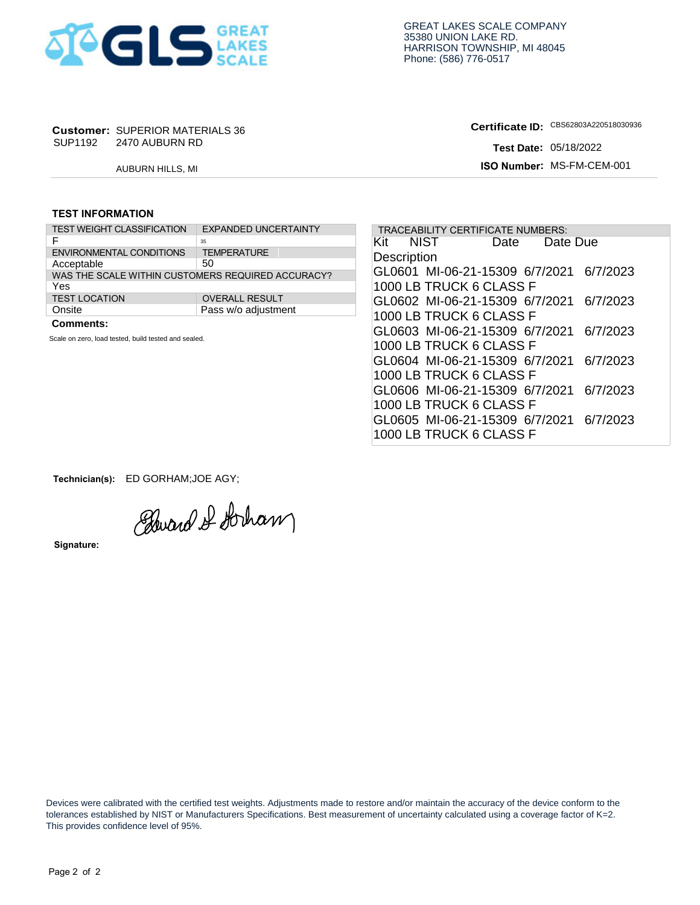

# **Customer: SUPERIOR MATERIALS 36<br>SUP1192 2470 AUBURN RD**

**Certificate ID: Test Date:** 

### **TEST INFORMATION**

| SUP1192                 | <b>Customer: SUPERIOR MATERIALS 36</b><br>2470 AUBURN RD |                             |  |
|-------------------------|----------------------------------------------------------|-----------------------------|--|
|                         | AUBURN HILLS, MI                                         |                             |  |
|                         |                                                          |                             |  |
| <b>TEST INFORMATION</b> |                                                          |                             |  |
|                         | <b>TEST WEIGHT CLASSIFICATION</b>                        | <b>EXPANDED UNCERTAINTY</b> |  |
| F                       |                                                          | 35                          |  |
|                         | <b>ENVIRONMENTAL CONDITIONS</b>                          | <b>TEMPERATURE</b>          |  |
| Acceptable              |                                                          | 50                          |  |
|                         | WAS THE SCALE WITHIN CUSTOMERS REQUIRED ACCURACY?        |                             |  |
| Yes                     |                                                          |                             |  |
| <b>TEST LOCATION</b>    |                                                          | <b>OVERALL RESULT</b>       |  |
| Onsite                  |                                                          | Pass w/o adjustment         |  |
|                         |                                                          |                             |  |

|                                                                              | <b>Customer: SUPERIOR MATERIALS 36</b>               |                                                                                                                                     | Certificate ID: CBS62803A220518030936                                                                                                                                                                                                              |
|------------------------------------------------------------------------------|------------------------------------------------------|-------------------------------------------------------------------------------------------------------------------------------------|----------------------------------------------------------------------------------------------------------------------------------------------------------------------------------------------------------------------------------------------------|
|                                                                              | SUP1192 2470 AUBURN RD                               |                                                                                                                                     | <b>Test Date: 05/18/2022</b>                                                                                                                                                                                                                       |
|                                                                              | AUBURN HILLS, MI                                     |                                                                                                                                     | ISO Number: MS-FM-CEM-001                                                                                                                                                                                                                          |
| <b>TEST INFORMATION</b>                                                      |                                                      |                                                                                                                                     |                                                                                                                                                                                                                                                    |
|                                                                              | <b>TEST WEIGHT CLASSIFICATION</b>                    | <b>EXPANDED UNCERTAINTY</b>                                                                                                         | TRACEABILITY CERTIFICATE NUMBERS:                                                                                                                                                                                                                  |
| F<br>Acceptable<br>Yes<br><b>TEST LOCATION</b><br>Onsite<br><b>Comments:</b> | <b>ENVIRONMENTAL CONDITIONS</b>                      | 35<br><b>TEMPERATURE</b><br>50<br>WAS THE SCALE WITHIN CUSTOMERS REQUIRED ACCURACY?<br><b>OVERALL RESULT</b><br>Pass w/o adjustment | Kit<br>NIST<br>Date<br>Date Due<br>Description<br>GL0601 MI-06-21-15309 6/7/2021<br>6/7/2023<br>1000 LB TRUCK 6 CLASS F<br>GL0602 MI-06-21-15309 6/7/2021<br>6/7/2023<br>1000 LB TRUCK 6 CLASS F<br>GL0603 MI-06-21-15309 6/7/2021<br>6/7/2023     |
|                                                                              | Scale on zero, load tested, build tested and sealed. |                                                                                                                                     | 1000 LB TRUCK 6 CLASS F<br>GL0604 MI-06-21-15309 6/7/2021<br>6/7/2023<br>1000 LB TRUCK 6 CLASS F<br>GL0606 MI-06-21-15309 6/7/2021<br>6/7/2023<br>1000 LB TRUCK 6 CLASS F<br>GL0605 MI-06-21-15309 6/7/2021<br>6/7/2023<br>1000 LB TRUCK 6 CLASS F |

**Technician(s):** ED GORHAM;JOE AGY;

Edward & Stocham

**Signature:** 

 Devices were calibrated with the certified test weights. Adjustments made to restore and/or maintain the accuracy of the device conform to the tolerances established by NIST or Manufacturers Specifications. Best measurement of uncertainty calculated using a coverage factor of K=2. This provides confidence level of 95%.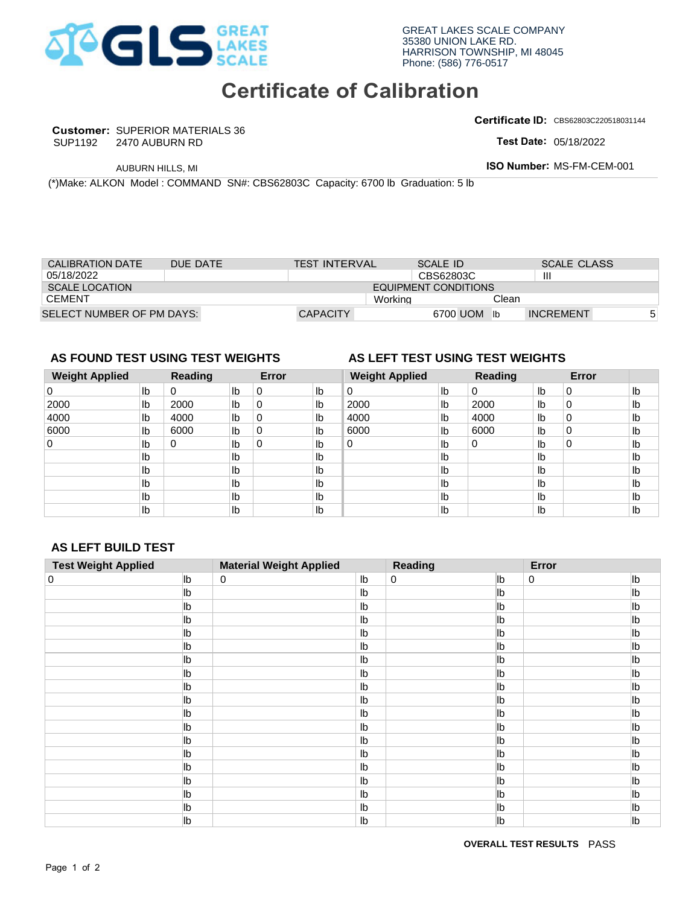

## **Certificate of Calibration**

**Customer:** SUPERIOR MATERIALS 36 SUP1192

**Certificate ID:** CBS62803C220518031144

**Test Date:** 

| <b>CALIBRATION DATE</b>          |    | <b>DUE DATE</b> |    |       | <b>TEST INTERVAL</b> |                                 | <b>SCALE ID</b>             |          |    | <b>SCALE CLASS</b> |    |
|----------------------------------|----|-----------------|----|-------|----------------------|---------------------------------|-----------------------------|----------|----|--------------------|----|
| 05/18/2022                       |    |                 |    |       |                      |                                 | CBS62803C                   |          | Ш  |                    |    |
| <b>SCALE LOCATION</b>            |    |                 |    |       |                      |                                 | <b>EQUIPMENT CONDITIONS</b> |          |    |                    |    |
| <b>CEMENT</b>                    |    |                 |    |       |                      | Workina                         |                             | Clean    |    |                    |    |
| SELECT NUMBER OF PM DAYS:        |    |                 |    |       | <b>CAPACITY</b>      |                                 | 6700 UOM                    | lb       |    | <b>INCREMENT</b>   | 5  |
|                                  |    |                 |    |       |                      |                                 |                             |          |    |                    |    |
|                                  |    |                 |    |       |                      |                                 |                             |          |    |                    |    |
|                                  |    |                 |    |       |                      |                                 |                             |          |    |                    |    |
| AS FOUND TEST USING TEST WEIGHTS |    |                 |    |       |                      | AS LEFT TEST USING TEST WEIGHTS |                             |          |    |                    |    |
| <b>Weight Applied</b>            |    | Reading         |    | Error |                      | <b>Weight Applied</b>           |                             | Reading  |    | Error              |    |
|                                  | lb | 0               | Ib | 0     | lb                   | $\Omega$                        | lb                          | $\Omega$ | Ib | $\Omega$           | Ib |

## **AS FOUND TEST USING TEST WEIGHTS AS LEFT TEST USING TEST WEIGHTS**

### **Weight Applied Reading Error Weight Applied Reading Error**  0 lb  $Ib$  $\mathsf{lb}$  $\mathsf{lb}$ Ib Ib  $Ib$ Ib  $Ib$ 0 0 4000 0 0 0 0 4000 0 0 0 0 0 0 | | | | | 0 0 0 UOM Ib INCREMENT<br> **2000** Ib 0 Ib 2000<br>
UC TEST WEIGHTS<br>
UC 2000 Ib 0 Ib 10<br>
UC 2000 Ib 0 Ib lb lb lb lb lb lb lb 2000 lb 0 lb 2000 lb 2000 lb 0 lb lb | 4000 | lb | 1000 | lb | 1000 | lb | 0 | lb | 1000 | lb | 10 lb | 6000 | lb | 6000 | lb | 6000 | lb | 0 | lb | 1b | 1b | 6000 | lb | 0 | 1b | 1b lb lb lb lb lb lb lb lb lb lb lb lb lb lb lb lb lb lb lb lb lb lb lb lb lb lb lb lb lb lb lb lb lb lb lb lb 0

## **AS LEFT BUILD TEST**

|                                                                                  |               | 2470 AUBURN RD   |                      |                            |                                |                                  |                             |                              |                                 |                | Test Date: 05/18/2022     |                                |
|----------------------------------------------------------------------------------|---------------|------------------|----------------------|----------------------------|--------------------------------|----------------------------------|-----------------------------|------------------------------|---------------------------------|----------------|---------------------------|--------------------------------|
|                                                                                  |               | AUBURN HILLS, MI |                      |                            |                                |                                  |                             |                              |                                 |                | ISO Number: MS-FM-CEM-001 |                                |
| (*)Make: ALKON Model : COMMAND SN#: CBS62803C Capacity: 6700 lb Graduation: 5 lb |               |                  |                      |                            |                                |                                  |                             |                              |                                 |                |                           |                                |
|                                                                                  |               |                  |                      |                            |                                |                                  |                             |                              |                                 |                |                           |                                |
|                                                                                  |               |                  |                      |                            |                                |                                  |                             |                              |                                 |                |                           |                                |
|                                                                                  |               |                  |                      |                            |                                |                                  |                             |                              |                                 |                |                           |                                |
|                                                                                  |               |                  |                      |                            |                                |                                  |                             |                              |                                 |                |                           |                                |
| <b>CALIBRATION DATE</b><br>05/18/2022                                            |               | DUE DATE         |                      |                            | <b>TEST INTERVAL</b>           |                                  |                             | <b>SCALE ID</b><br>CBS62803C |                                 | $\mathbf{III}$ | <b>SCALE CLASS</b>        |                                |
| <b>SCALE LOCATION</b>                                                            |               |                  |                      |                            |                                |                                  | <b>EQUIPMENT CONDITIONS</b> |                              |                                 |                |                           |                                |
| <b>CEMENT</b>                                                                    |               |                  |                      |                            |                                |                                  | Working                     |                              | Clean                           |                |                           |                                |
| SELECT NUMBER OF PM DAYS:                                                        |               |                  |                      |                            | <b>CAPACITY</b>                |                                  |                             |                              | 6700 UOM lb                     |                | <b>INCREMENT</b>          |                                |
|                                                                                  |               |                  |                      |                            |                                |                                  |                             |                              |                                 |                |                           |                                |
|                                                                                  |               |                  |                      |                            |                                |                                  |                             |                              |                                 |                |                           |                                |
| AS FOUND TEST USING TEST WEIGHTS                                                 |               |                  |                      |                            |                                |                                  |                             |                              | AS LEFT TEST USING TEST WEIGHTS |                |                           |                                |
| <b>Weight Applied</b>                                                            |               | <b>Reading</b>   |                      | Error                      |                                |                                  | <b>Weight Applied</b>       |                              | <b>Reading</b>                  |                | Error                     |                                |
| 0                                                                                | Ib            | 0                | $\mathsf{lb}$        | $\pmb{0}$                  | I <sub>b</sub>                 | $\mathbf 0$                      |                             | Ib                           | 0                               | lb             | 0                         | I <sub>b</sub>                 |
| 2000                                                                             | $\mathsf{lb}$ | 2000             | I <sub>b</sub>       | $\pmb{0}$                  | Ib                             | 2000                             |                             | Ib                           | 2000                            | lb             | 0                         | $\mathsf{lb}$                  |
| 4000<br>6000                                                                     | lb<br>lb      | 4000<br>6000     | lb<br>I <sub>b</sub> | $\mathbf 0$<br>$\mathbf 0$ | Ib<br>Ib                       | 4000<br>6000                     |                             | Ib<br>Ib                     | 4000<br>6000                    | lb<br>lb       | $\mathsf 0$<br>0          | $\mathsf{lb}$<br>$\mathsf{lb}$ |
| $\mathsf 0$                                                                      | lb            | 0                | lb                   | 0                          | Ib                             | $\pmb{0}$                        |                             | lb                           | 0                               | lb             | 0                         | I <sub>b</sub>                 |
|                                                                                  | lb            |                  | lb                   |                            | Ib                             |                                  |                             | lb                           |                                 | lb             |                           | lb                             |
|                                                                                  | lb            |                  | $\mathsf{lb}$        |                            | Ib                             |                                  |                             | Ib                           |                                 | lb             |                           | I <sub>b</sub>                 |
|                                                                                  | lb            |                  | I <sub>b</sub>       |                            | Ib                             |                                  |                             | Ib                           |                                 | lb             |                           | lb                             |
|                                                                                  | lb            |                  | Ib                   |                            | Ib                             |                                  |                             | Ib                           |                                 | Ib             |                           | Ib                             |
|                                                                                  |               |                  |                      |                            |                                |                                  |                             |                              |                                 |                |                           |                                |
|                                                                                  | Ib            |                  | Ib                   |                            | Ib                             |                                  |                             | Ib                           |                                 | lb             |                           | Ib                             |
|                                                                                  |               |                  |                      |                            |                                |                                  |                             |                              |                                 |                |                           |                                |
|                                                                                  |               |                  |                      |                            |                                |                                  |                             |                              |                                 |                |                           |                                |
|                                                                                  |               |                  |                      |                            |                                |                                  |                             |                              |                                 |                |                           |                                |
|                                                                                  |               | lb               | 0                    |                            | <b>Material Weight Applied</b> |                                  | <b>Reading</b><br>0         |                              | lb                              | Error<br>0     |                           | lb                             |
|                                                                                  |               | lb               |                      |                            |                                | Ib<br>Ib                         |                             |                              | lb                              |                |                           | Ib                             |
|                                                                                  |               | lb               |                      |                            |                                | Ib                               |                             |                              | lb                              |                |                           | Ib                             |
|                                                                                  |               | Ib               |                      |                            |                                | Ib                               |                             |                              | lb                              |                |                           | lb                             |
|                                                                                  |               | lb               |                      |                            |                                | Ib                               |                             |                              | lb                              |                |                           | Ib                             |
|                                                                                  |               | lb               |                      |                            |                                | Ib                               |                             |                              | lb                              |                |                           | lb                             |
|                                                                                  |               | lb               |                      |                            |                                | Ib                               |                             |                              | lb                              |                |                           | lb                             |
|                                                                                  |               | lb               |                      |                            |                                | I <sub>b</sub>                   |                             |                              | lb                              |                |                           | Ib                             |
|                                                                                  |               | lb               |                      |                            |                                | Ib                               |                             |                              | lb                              |                |                           | Ib                             |
|                                                                                  |               | lb               |                      |                            |                                | Ib                               |                             |                              | lb                              |                |                           | Ib                             |
|                                                                                  |               | lb<br>lb         |                      |                            |                                | I <sub>b</sub><br>I <sub>b</sub> |                             |                              | lb<br>lb                        |                |                           | Ib<br>Ib                       |
|                                                                                  |               | lb               |                      |                            |                                | I <sub>b</sub>                   |                             |                              | lb                              |                |                           | Ib                             |
|                                                                                  |               | lb               |                      |                            |                                | I <sub>b</sub>                   |                             |                              | lb                              |                |                           | Ib                             |
|                                                                                  |               | lb               |                      |                            |                                | I <sub>b</sub>                   |                             |                              | lb                              |                |                           | lb                             |
|                                                                                  |               | lb               |                      |                            |                                | I <sub>b</sub>                   |                             |                              | lb                              |                |                           | lb                             |
|                                                                                  |               | lb               |                      |                            |                                | I <sub>b</sub>                   |                             |                              | lb                              |                |                           | lb                             |
| <b>AS LEFT BUILD TEST</b><br><b>Test Weight Applied</b><br>$\mathbf 0$           |               | lb<br>lb         |                      |                            |                                | I <sub>b</sub><br>lb             |                             |                              | lb<br>lb                        |                |                           | lb<br>lb                       |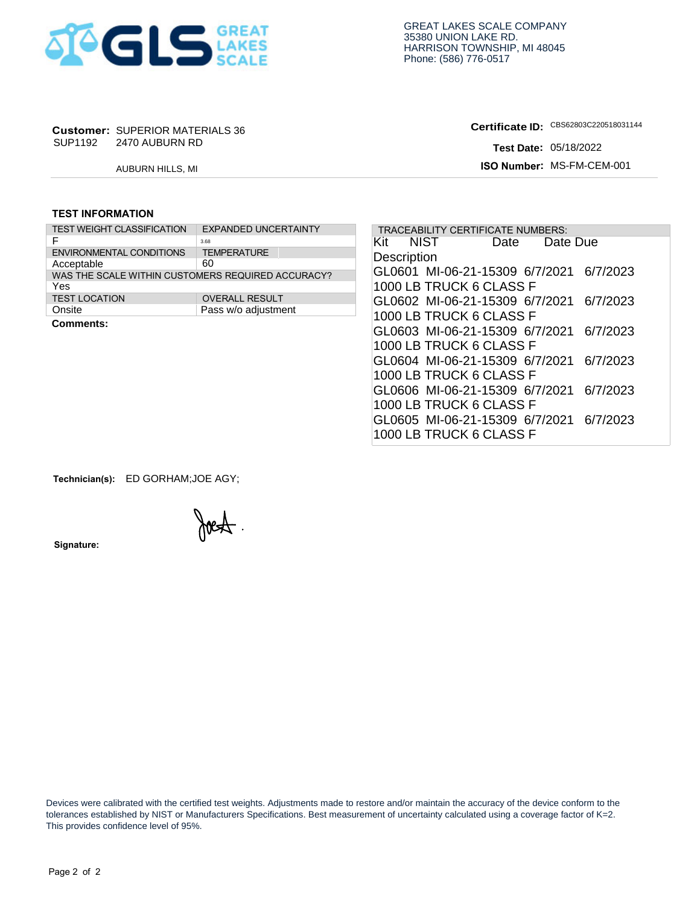

# **Customer: SUPERIOR MATERIALS 36<br>SUP1192 2470 AUBURN RD**

**Certificate ID:**

### **TEST INFORMATION**

|                                                   | <b>Customer: SUPERIOR MATERIALS 36</b> |                             |  |  |  |  |  |
|---------------------------------------------------|----------------------------------------|-----------------------------|--|--|--|--|--|
| SUP1192                                           | 2470 AUBURN RD                         |                             |  |  |  |  |  |
|                                                   | <b>AUBURN HILLS, MI</b>                |                             |  |  |  |  |  |
|                                                   |                                        |                             |  |  |  |  |  |
|                                                   |                                        |                             |  |  |  |  |  |
| <b>TEST INFORMATION</b>                           |                                        |                             |  |  |  |  |  |
| <b>TEST WEIGHT CLASSIFICATION</b>                 |                                        | <b>EXPANDED UNCERTAINTY</b> |  |  |  |  |  |
| F                                                 |                                        | 3.68                        |  |  |  |  |  |
| <b>ENVIRONMENTAL CONDITIONS</b>                   |                                        | <b>TEMPERATURE</b>          |  |  |  |  |  |
| Acceptable                                        |                                        | 60                          |  |  |  |  |  |
| WAS THE SCALE WITHIN CUSTOMERS REQUIRED ACCURACY? |                                        |                             |  |  |  |  |  |
| Yes                                               |                                        |                             |  |  |  |  |  |
| <b>TEST LOCATION</b>                              |                                        | <b>OVERALL RESULT</b>       |  |  |  |  |  |
| Onsite                                            |                                        | Pass w/o adjustment         |  |  |  |  |  |
| Cammante:                                         |                                        |                             |  |  |  |  |  |

|                         | <b>Customer: SUPERIOR MATERIALS 36</b> |                                                   | Certificate ID: CBS62803C220518031144 |                           |                                   |                              |          |  |  |
|-------------------------|----------------------------------------|---------------------------------------------------|---------------------------------------|---------------------------|-----------------------------------|------------------------------|----------|--|--|
|                         | SUP1192 2470 AUBURN RD                 |                                                   |                                       |                           |                                   | <b>Test Date: 05/18/2022</b> |          |  |  |
|                         | AUBURN HILLS, MI                       |                                                   |                                       | ISO Number: MS-FM-CEM-001 |                                   |                              |          |  |  |
|                         |                                        |                                                   |                                       |                           |                                   |                              |          |  |  |
| <b>TEST INFORMATION</b> |                                        |                                                   |                                       |                           |                                   |                              |          |  |  |
|                         | <b>TEST WEIGHT CLASSIFICATION</b>      | <b>EXPANDED UNCERTAINTY</b>                       |                                       |                           | TRACEABILITY CERTIFICATE NUMBERS: |                              |          |  |  |
| F                       |                                        | 3.68                                              | Kit                                   | NIST                      | Date                              | Date Due                     |          |  |  |
|                         | <b>ENVIRONMENTAL CONDITIONS</b>        | <b>TEMPERATURE</b>                                | Description                           |                           |                                   |                              |          |  |  |
| Acceptable              |                                        | 60                                                |                                       |                           | GL0601 MI-06-21-15309 6/7/2021    |                              | 6/7/2023 |  |  |
| Yes                     |                                        | WAS THE SCALE WITHIN CUSTOMERS REQUIRED ACCURACY? |                                       |                           |                                   |                              |          |  |  |
| <b>TEST LOCATION</b>    |                                        | <b>OVERALL RESULT</b>                             |                                       |                           | 1000 LB TRUCK 6 CLASS F           |                              |          |  |  |
| Onsite                  |                                        | Pass w/o adjustment                               |                                       |                           | GL0602 MI-06-21-15309 6/7/2021    |                              | 6/7/2023 |  |  |
| <b>Comments:</b>        |                                        |                                                   |                                       |                           | 1000 LB TRUCK 6 CLASS F           |                              |          |  |  |
|                         |                                        |                                                   |                                       |                           | GL0603 MI-06-21-15309 6/7/2021    |                              | 6/7/2023 |  |  |
|                         |                                        |                                                   |                                       |                           | 1000 LB TRUCK 6 CLASS F           |                              |          |  |  |
|                         |                                        |                                                   |                                       |                           | GL0604 MI-06-21-15309 6/7/2021    |                              | 6/7/2023 |  |  |
|                         |                                        |                                                   |                                       |                           | 1000 LB TRUCK 6 CLASS F           |                              |          |  |  |
|                         |                                        |                                                   |                                       |                           |                                   |                              |          |  |  |
|                         |                                        |                                                   |                                       |                           | GL0606 MI-06-21-15309 6/7/2021    |                              | 6/7/2023 |  |  |
|                         |                                        |                                                   |                                       |                           | 1000 LB TRUCK 6 CLASS F           |                              |          |  |  |
|                         |                                        |                                                   |                                       |                           | GL0605 MI-06-21-15309 6/7/2021    |                              | 6/7/2023 |  |  |
|                         |                                        |                                                   |                                       |                           | 1000 LB TRUCK 6 CLASS F           |                              |          |  |  |

**Technician(s):** ED GORHAM;JOE AGY;

Joest.

**Signature:** 

 Devices were calibrated with the certified test weights. Adjustments made to restore and/or maintain the accuracy of the device conform to the tolerances established by NIST or Manufacturers Specifications. Best measurement of uncertainty calculated using a coverage factor of K=2. This provides confidence level of 95%.